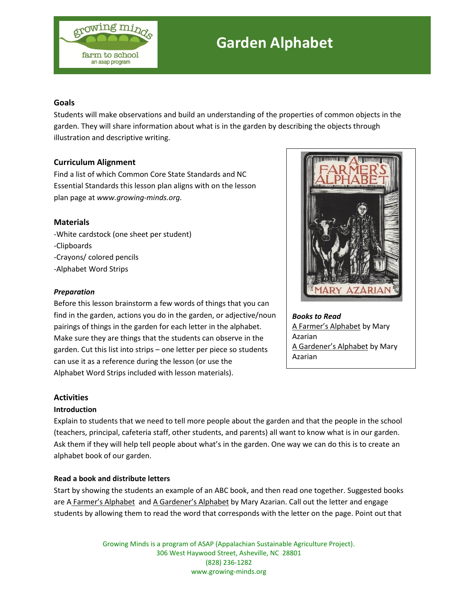

# **Garden Alphabet**

## **Goals**

Students will make observations and build an understanding of the properties of common objects in the garden. They will share information about what is in the garden by describing the objects through illustration and descriptive writing.

## **Curriculum Alignment**

Find a list of which Common Core State Standards and NC Essential Standards this lesson plan aligns with on the lesson plan page at *[www.growing-minds.org.](http://www.growing-minds.org/)* 

## **Materials**

-White cardstock (one sheet per student) -Clipboards -Crayons/ colored pencils -Alphabet Word Strips

### *Preparation*

Before this lesson brainstorm a few words of things that you can find in the garden, actions you do in the garden, or adjective/noun pairings of things in the garden for each letter in the alphabet. Make sure they are things that the students can observe in the garden. Cut this list into strips – one letter per piece so students can use it as a reference during the lesson (or use the Alphabet Word Strips included with lesson materials).



#### **Introduction**

Explain to students that we need to tell more people about the garden and that the people in the school (teachers, principal, cafeteria staff, other students, and parents) all want to know what is in our garden. Ask them if they will help tell people about what's in the garden. One way we can do this is to create an alphabet book of our garden.

## **Read a book and distribute letters**

Start by showing the students an example of an ABC book, and then read one together. Suggested books are A Farmer's Alphabet and A Gardener's Alphabet by Mary Azarian. Call out the letter and engage students by allowing them to read the word that corresponds with the letter on the page. Point out that

> Growing Minds is a program of ASAP (Appalachian Sustainable Agriculture Project). 306 West Haywood Street, Asheville, NC 28801 (828) 236-1282 www.growing-minds.org



*Books to Read* A Farmer's Alphabet by Mary Azarian A Gardener's Alphabet by Mary Azarian